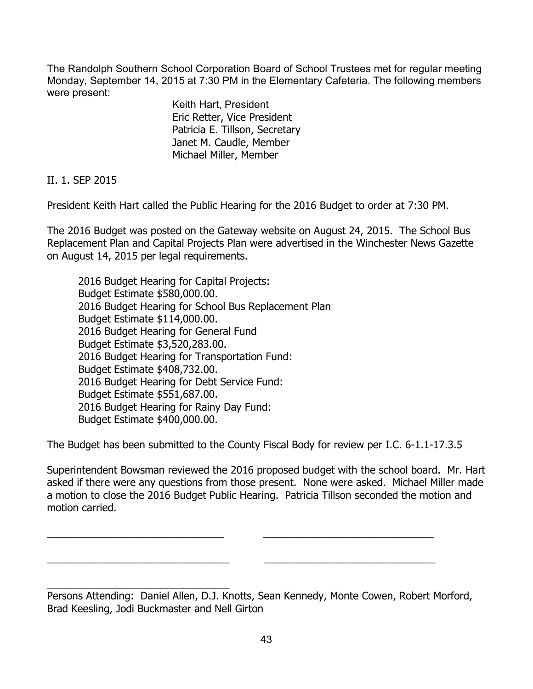The Randolph Southern School Corporation Board of School Trustees met for regular meeting Monday, September 14, 2015 at 7:30 PM in the Elementary Cafeteria. The following members were present:

> Keith Hart, President Eric Retter, Vice President Patricia E. Tillson, Secretary Janet M. Caudle, Member Michael Miller, Member

II. 1. SEP 2015

President Keith Hart called the Public Hearing for the 2016 Budget to order at 7:30 PM.

The 2016 Budget was posted on the Gateway website on August 24, 2015. The School Bus Replacement Plan and Capital Projects Plan were advertised in the Winchester News Gazette on August 14, 2015 per legal requirements.

 2016 Budget Hearing for Capital Projects: Budget Estimate \$580,000.00. 2016 Budget Hearing for School Bus Replacement Plan Budget Estimate \$114,000.00. 2016 Budget Hearing for General Fund Budget Estimate \$3,520,283.00. 2016 Budget Hearing for Transportation Fund: Budget Estimate \$408,732.00. 2016 Budget Hearing for Debt Service Fund: Budget Estimate \$551,687.00. 2016 Budget Hearing for Rainy Day Fund: Budget Estimate \$400,000.00.

The Budget has been submitted to the County Fiscal Body for review per I.C. 6-1.1-17.3.5

\_\_\_\_\_\_\_\_\_\_\_\_\_\_\_\_\_\_\_\_\_\_\_\_\_\_\_\_\_\_\_ \_\_\_\_\_\_\_\_\_\_\_\_\_\_\_\_\_\_\_\_\_\_\_\_\_\_\_\_\_\_

\_\_\_\_\_\_\_\_\_\_\_\_\_\_\_\_\_\_\_\_\_\_\_\_\_\_\_\_\_\_\_\_ \_\_\_\_\_\_\_\_\_\_\_\_\_\_\_\_\_\_\_\_\_\_\_\_\_\_\_\_\_\_

Superintendent Bowsman reviewed the 2016 proposed budget with the school board. Mr. Hart asked if there were any questions from those present. None were asked. Michael Miller made a motion to close the 2016 Budget Public Hearing. Patricia Tillson seconded the motion and motion carried.

\_\_\_\_\_\_\_\_\_\_\_\_\_\_\_\_\_\_\_\_\_\_\_\_\_\_\_\_\_\_\_\_ Persons Attending: Daniel Allen, D.J. Knotts, Sean Kennedy, Monte Cowen, Robert Morford, Brad Keesling, Jodi Buckmaster and Nell Girton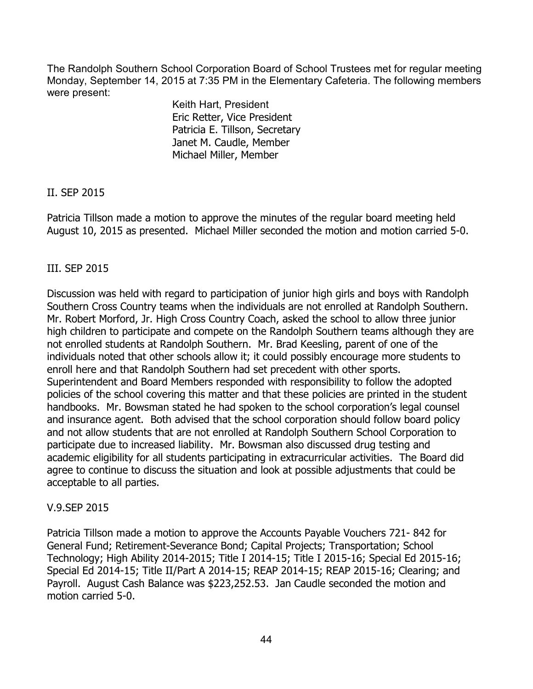The Randolph Southern School Corporation Board of School Trustees met for regular meeting Monday, September 14, 2015 at 7:35 PM in the Elementary Cafeteria. The following members were present:

> Keith Hart, President Eric Retter, Vice President Patricia E. Tillson, Secretary Janet M. Caudle, Member Michael Miller, Member

# II. SEP 2015

Patricia Tillson made a motion to approve the minutes of the regular board meeting held August 10, 2015 as presented. Michael Miller seconded the motion and motion carried 5-0.

# III. SEP 2015

Discussion was held with regard to participation of junior high girls and boys with Randolph Southern Cross Country teams when the individuals are not enrolled at Randolph Southern. Mr. Robert Morford, Jr. High Cross Country Coach, asked the school to allow three junior high children to participate and compete on the Randolph Southern teams although they are not enrolled students at Randolph Southern. Mr. Brad Keesling, parent of one of the individuals noted that other schools allow it; it could possibly encourage more students to enroll here and that Randolph Southern had set precedent with other sports. Superintendent and Board Members responded with responsibility to follow the adopted policies of the school covering this matter and that these policies are printed in the student handbooks. Mr. Bowsman stated he had spoken to the school corporation's legal counsel and insurance agent. Both advised that the school corporation should follow board policy and not allow students that are not enrolled at Randolph Southern School Corporation to participate due to increased liability. Mr. Bowsman also discussed drug testing and academic eligibility for all students participating in extracurricular activities. The Board did agree to continue to discuss the situation and look at possible adjustments that could be acceptable to all parties.

### V.9.SEP 2015

Patricia Tillson made a motion to approve the Accounts Payable Vouchers 721- 842 for General Fund; Retirement-Severance Bond; Capital Projects; Transportation; School Technology; High Ability 2014-2015; Title I 2014-15; Title I 2015-16; Special Ed 2015-16; Special Ed 2014-15; Title II/Part A 2014-15; REAP 2014-15; REAP 2015-16; Clearing; and Payroll. August Cash Balance was \$223,252.53. Jan Caudle seconded the motion and motion carried 5-0.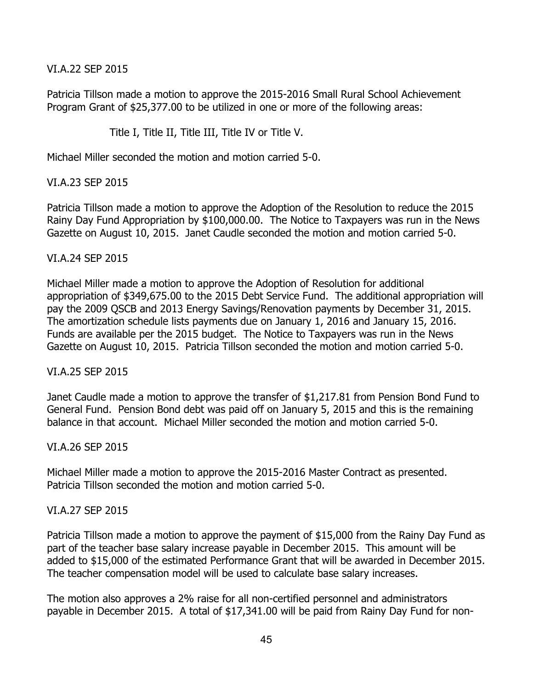VI.A.22 SEP 2015

Patricia Tillson made a motion to approve the 2015-2016 Small Rural School Achievement Program Grant of \$25,377.00 to be utilized in one or more of the following areas:

Title I, Title II, Title III, Title IV or Title V.

Michael Miller seconded the motion and motion carried 5-0.

VI.A.23 SEP 2015

Patricia Tillson made a motion to approve the Adoption of the Resolution to reduce the 2015 Rainy Day Fund Appropriation by \$100,000.00. The Notice to Taxpayers was run in the News Gazette on August 10, 2015. Janet Caudle seconded the motion and motion carried 5-0.

#### VI.A.24 SEP 2015

Michael Miller made a motion to approve the Adoption of Resolution for additional appropriation of \$349,675.00 to the 2015 Debt Service Fund. The additional appropriation will pay the 2009 QSCB and 2013 Energy Savings/Renovation payments by December 31, 2015. The amortization schedule lists payments due on January 1, 2016 and January 15, 2016. Funds are available per the 2015 budget. The Notice to Taxpayers was run in the News Gazette on August 10, 2015. Patricia Tillson seconded the motion and motion carried 5-0.

#### VI.A.25 SEP 2015

Janet Caudle made a motion to approve the transfer of \$1,217.81 from Pension Bond Fund to General Fund. Pension Bond debt was paid off on January 5, 2015 and this is the remaining balance in that account. Michael Miller seconded the motion and motion carried 5-0.

VI.A.26 SEP 2015

Michael Miller made a motion to approve the 2015-2016 Master Contract as presented. Patricia Tillson seconded the motion and motion carried 5-0.

#### VI.A.27 SEP 2015

Patricia Tillson made a motion to approve the payment of \$15,000 from the Rainy Day Fund as part of the teacher base salary increase payable in December 2015. This amount will be added to \$15,000 of the estimated Performance Grant that will be awarded in December 2015. The teacher compensation model will be used to calculate base salary increases.

The motion also approves a 2% raise for all non-certified personnel and administrators payable in December 2015. A total of \$17,341.00 will be paid from Rainy Day Fund for non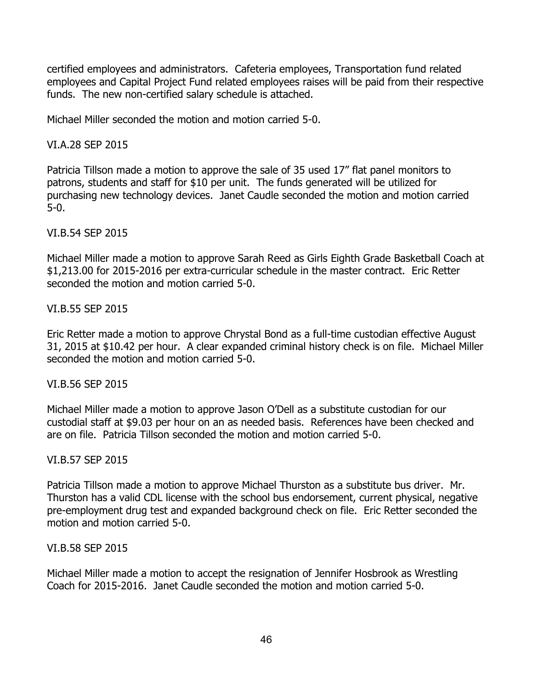certified employees and administrators. Cafeteria employees, Transportation fund related employees and Capital Project Fund related employees raises will be paid from their respective funds. The new non-certified salary schedule is attached.

Michael Miller seconded the motion and motion carried 5-0.

## VI.A.28 SEP 2015

Patricia Tillson made a motion to approve the sale of 35 used 17" flat panel monitors to patrons, students and staff for \$10 per unit. The funds generated will be utilized for purchasing new technology devices. Janet Caudle seconded the motion and motion carried 5-0.

### VI.B.54 SEP 2015

Michael Miller made a motion to approve Sarah Reed as Girls Eighth Grade Basketball Coach at \$1,213.00 for 2015-2016 per extra-curricular schedule in the master contract. Eric Retter seconded the motion and motion carried 5-0.

### VI.B.55 SEP 2015

Eric Retter made a motion to approve Chrystal Bond as a full-time custodian effective August 31, 2015 at \$10.42 per hour. A clear expanded criminal history check is on file. Michael Miller seconded the motion and motion carried 5-0.

### VI.B.56 SEP 2015

Michael Miller made a motion to approve Jason O'Dell as a substitute custodian for our custodial staff at \$9.03 per hour on an as needed basis. References have been checked and are on file. Patricia Tillson seconded the motion and motion carried 5-0.

### VI.B.57 SEP 2015

Patricia Tillson made a motion to approve Michael Thurston as a substitute bus driver. Mr. Thurston has a valid CDL license with the school bus endorsement, current physical, negative pre-employment drug test and expanded background check on file. Eric Retter seconded the motion and motion carried 5-0.

### VI.B.58 SEP 2015

Michael Miller made a motion to accept the resignation of Jennifer Hosbrook as Wrestling Coach for 2015-2016. Janet Caudle seconded the motion and motion carried 5-0.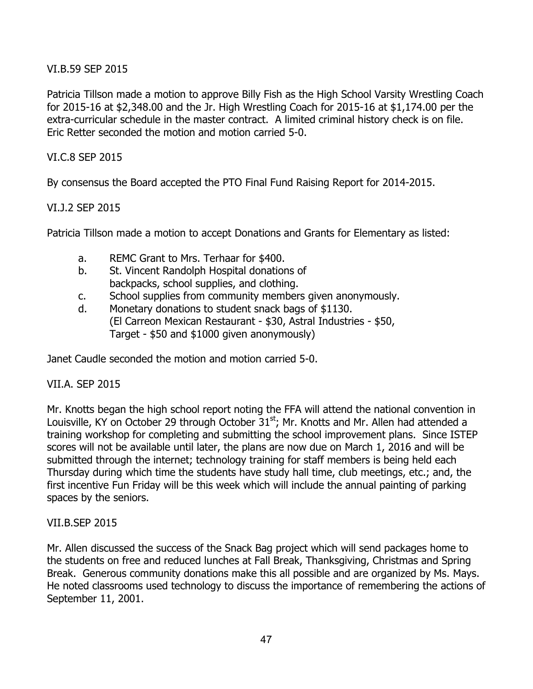## VI.B.59 SEP 2015

Patricia Tillson made a motion to approve Billy Fish as the High School Varsity Wrestling Coach for 2015-16 at \$2,348.00 and the Jr. High Wrestling Coach for 2015-16 at \$1,174.00 per the extra-curricular schedule in the master contract. A limited criminal history check is on file. Eric Retter seconded the motion and motion carried 5-0.

## VI.C.8 SEP 2015

By consensus the Board accepted the PTO Final Fund Raising Report for 2014-2015.

### VI.J.2 SEP 2015

Patricia Tillson made a motion to accept Donations and Grants for Elementary as listed:

- a. REMC Grant to Mrs. Terhaar for \$400.
- b. St. Vincent Randolph Hospital donations of backpacks, school supplies, and clothing.
- c. School supplies from community members given anonymously.
- d. Monetary donations to student snack bags of \$1130. (El Carreon Mexican Restaurant - \$30, Astral Industries - \$50, Target - \$50 and \$1000 given anonymously)

Janet Caudle seconded the motion and motion carried 5-0.

### VII.A. SEP 2015

Mr. Knotts began the high school report noting the FFA will attend the national convention in Louisville, KY on October 29 through October 31<sup>st</sup>; Mr. Knotts and Mr. Allen had attended a training workshop for completing and submitting the school improvement plans. Since ISTEP scores will not be available until later, the plans are now due on March 1, 2016 and will be submitted through the internet; technology training for staff members is being held each Thursday during which time the students have study hall time, club meetings, etc.; and, the first incentive Fun Friday will be this week which will include the annual painting of parking spaces by the seniors.

### VII.B.SEP 2015

Mr. Allen discussed the success of the Snack Bag project which will send packages home to the students on free and reduced lunches at Fall Break, Thanksgiving, Christmas and Spring Break. Generous community donations make this all possible and are organized by Ms. Mays. He noted classrooms used technology to discuss the importance of remembering the actions of September 11, 2001.